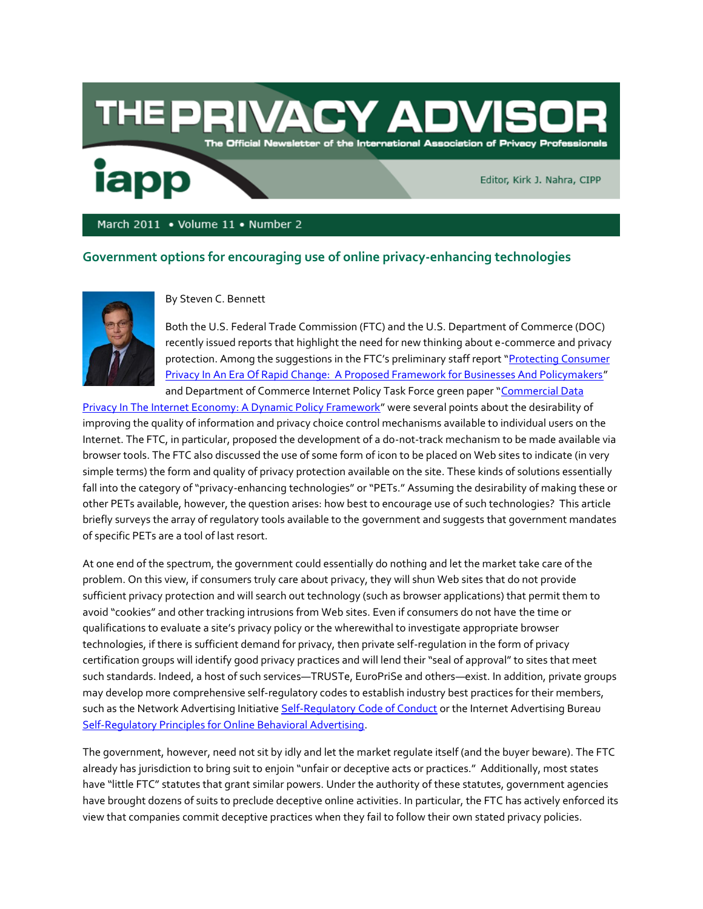## ACY ADI DE. The Official Newsletter of the International Association of Privacy Professionals

Editor, Kirk J. Nahra, CIPP

March 2011 • Volume 11 • Number 2

## **Government options for encouraging use of online privacy-enhancing technologies**



iapp

By Steven C. Bennett

Both the U.S. Federal Trade Commission (FTC) and the U.S. Department of Commerce (DOC) recently issued reports that highlight the need for new thinking about e-commerce and privacy protection. Among the suggestions in the FTC's preliminary staff report "Protecting Consumer [Privacy In An Era Of Rapid Change: A Proposed Framework for Businesses And Policymakers](http://www.ftc.gov/os/2010/12/101201privacyreport.pdf)" and Department of Commerce Internet Policy Task Force green paper "[Commercial Data](http://www.ntia.doc.gov/reports/2010/IPTF_Privacy_GreenPaper_12162010.pdf.) 

[Privacy In The Internet Economy: A Dynamic Policy Framework](http://www.ntia.doc.gov/reports/2010/IPTF_Privacy_GreenPaper_12162010.pdf.)" were several points about the desirability of improving the quality of information and privacy choice control mechanisms available to individual users on the Internet. The FTC, in particular, proposed the development of a do-not-track mechanism to be made available via browser tools. The FTC also discussed the use of some form of icon to be placed on Web sites to indicate (in very simple terms) the form and quality of privacy protection available on the site. These kinds of solutions essentially fall into the category of "privacy-enhancing technologies" or "PETs." Assuming the desirability of making these or other PETs available, however, the question arises: how best to encourage use of such technologies? This article briefly surveys the array of regulatory tools available to the government and suggests that government mandates of specific PETs are a tool of last resort.

At one end of the spectrum, the government could essentially do nothing and let the market take care of the problem. On this view, if consumers truly care about privacy, they will shun Web sites that do not provide sufficient privacy protection and will search out technology (such as browser applications) that permit them to avoid "cookies" and other tracking intrusions from Web sites. Even if consumers do not have the time or qualifications to evaluate a site's privacy policy or the wherewithal to investigate appropriate browser technologies, if there is sufficient demand for privacy, then private self-regulation in the form of privacy certification groups will identify good privacy practices and will lend their "seal of approval" to sites that meet such standards. Indeed, a host of such services—TRUSTe, EuroPriSe and others—exist. In addition, private groups may develop more comprehensive self-regulatory codes to establish industry best practices for their members, such as the Network Advertising Initiativ[e Self-Regulatory Code of Conduct](http://www.networkadvertising.org/managing/principles.asp) or the Internet Advertising Bureau [Self-Regulatory Principles for Online Behavioral Advertising.](http://www.iab.net/public_policy/self-reg)

The government, however, need not sit by idly and let the market regulate itself (and the buyer beware). The FTC already has jurisdiction to bring suit to enjoin "unfair or deceptive acts or practices." Additionally, most states have "little FTC" statutes that grant similar powers. Under the authority of these statutes, government agencies have brought dozens of suits to preclude deceptive online activities. In particular, the FTC has actively enforced its view that companies commit deceptive practices when they fail to follow their own stated privacy policies.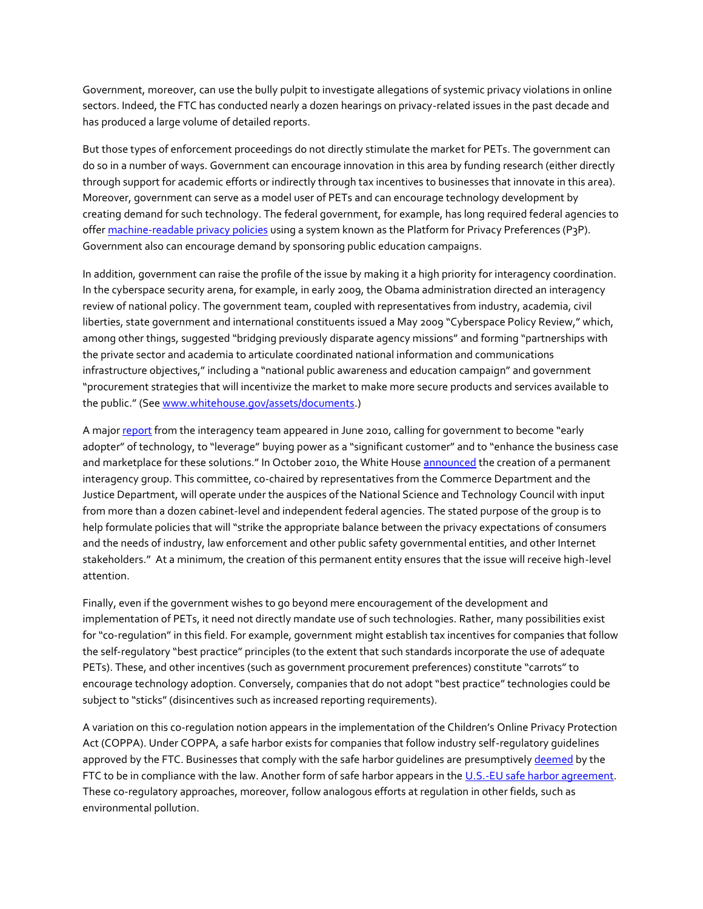Government, moreover, can use the bully pulpit to investigate allegations of systemic privacy violations in online sectors. Indeed, the FTC has conducted nearly a dozen hearings on privacy-related issues in the past decade and has produced a large volume of detailed reports.

But those types of enforcement proceedings do not directly stimulate the market for PETs. The government can do so in a number of ways. Government can encourage innovation in this area by funding research (either directly through support for academic efforts or indirectly through tax incentives to businesses that innovate in this area). Moreover, government can serve as a model user of PETs and can encourage technology development by creating demand for such technology. The federal government, for example, has long required federal agencies to offer [machine-readable privacy policies](http://www.usa.gov/webcontent/reqs_bestpractices/laws_regs/privacy_p3p.shtml) using a system known as the Platform for Privacy Preferences (P3P). Government also can encourage demand by sponsoring public education campaigns.

In addition, government can raise the profile of the issue by making it a high priority for interagency coordination. In the cyberspace security arena, for example, in early 2009, the Obama administration directed an interagency review of national policy. The government team, coupled with representatives from industry, academia, civil liberties, state government and international constituents issued a May 2009 "Cyberspace Policy Review," which, among other things, suggested "bridging previously disparate agency missions" and forming "partnerships with the private sector and academia to articulate coordinated national information and communications infrastructure objectives," including a "national public awareness and education campaign" and government "procurement strategies that will incentivize the market to make more secure products and services available to the public." (See [www.whitehouse.gov/assets/documents.](file:///C:/Users/eleach.IAPP/Desktop/Emily/Pubs%20stuff/Advisor/print%20this%20issue/Jan-Feb%202011/www.whitehouse.gov/assets/documents))

A majo[r report](http://www.dhs.gov/xlibrary/assets/ns_tic.pdf) from the interagency team appeared in June 2010, calling for government to become "early adopter" of technology, to "leverage" buying power as a "significant customer" and to "enhance the business case and marketplace for these solutions." In October 2010, the White House [announced](http://www.whitehouse.gov/search/site/White%20House%20Council%20Launches%20Interagency%20Subcommittee%20On%20Privacy%20%2526%20Internet%20Policy) the creation of a permanent interagency group. This committee, co-chaired by representatives from the Commerce Department and the Justice Department, will operate under the auspices of the National Science and Technology Council with input from more than a dozen cabinet-level and independent federal agencies. The stated purpose of the group is to help formulate policies that will "strike the appropriate balance between the privacy expectations of consumers and the needs of industry, law enforcement and other public safety governmental entities, and other Internet stakeholders." At a minimum, the creation of this permanent entity ensures that the issue will receive high-level attention.

Finally, even if the government wishes to go beyond mere encouragement of the development and implementation of PETs, it need not directly mandate use of such technologies. Rather, many possibilities exist for "co-regulation" in this field. For example, government might establish tax incentives for companies that follow the self-regulatory "best practice" principles (to the extent that such standards incorporate the use of adequate PETs). These, and other incentives (such as government procurement preferences) constitute "carrots" to encourage technology adoption. Conversely, companies that do not adopt "best practice" technologies could be subject to "sticks" (disincentives such as increased reporting requirements).

A variation on this co-regulation notion appears in the implementation of the Children's Online Privacy Protection Act (COPPA). Under COPPA, a safe harbor exists for companies that follow industry self-regulatory guidelines approved by the FTC. Businesses that comply with the safe harbor guidelines are presumptivel[y deemed](http://business.ftc.gov/privacy-and-security) by the FTC to be in compliance with the law. Another form of safe harbor appears in th[e U.S.-EU safe harbor agreement.](http://www.export.gov/safeharbor/eu/index.asp) These co-regulatory approaches, moreover, follow analogous efforts at regulation in other fields, such as environmental pollution.